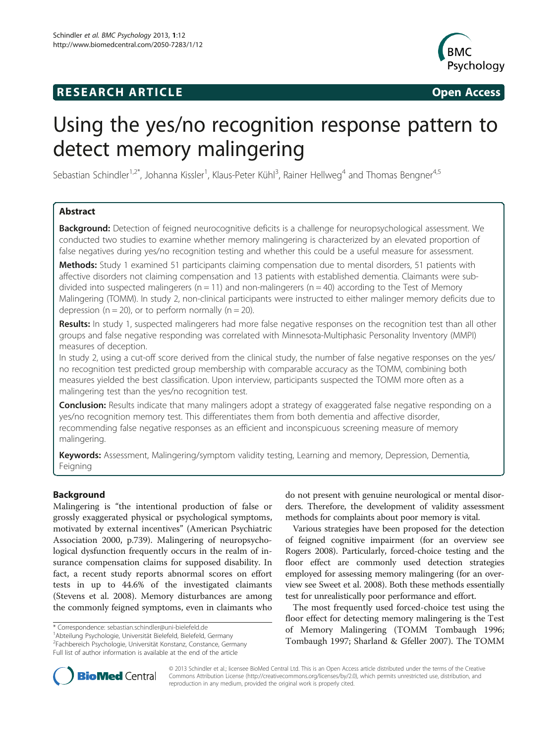## **RESEARCH ARTICLE Example 2014 CONSIDERING CONSIDERING CONSIDERING CONSIDERING CONSIDERING CONSIDERING CONSIDERING CONSIDERING CONSIDERING CONSIDERING CONSIDERING CONSIDERING CONSIDERING CONSIDERING CONSIDERING CONSIDE**



# Using the yes/no recognition response pattern to detect memory malingering

Sebastian Schindler<sup>1,2\*</sup>, Johanna Kissler<sup>1</sup>, Klaus-Peter Kühl<sup>3</sup>, Rainer Hellweg<sup>4</sup> and Thomas Bengner<sup>4,5</sup>

## Abstract

**Background:** Detection of feigned neurocognitive deficits is a challenge for neuropsychological assessment. We conducted two studies to examine whether memory malingering is characterized by an elevated proportion of false negatives during yes/no recognition testing and whether this could be a useful measure for assessment.

Methods: Study 1 examined 51 participants claiming compensation due to mental disorders, 51 patients with affective disorders not claiming compensation and 13 patients with established dementia. Claimants were subdivided into suspected malingerers ( $n = 11$ ) and non-malingerers ( $n = 40$ ) according to the Test of Memory Malingering (TOMM). In study 2, non-clinical participants were instructed to either malinger memory deficits due to depression ( $n = 20$ ), or to perform normally ( $n = 20$ ).

Results: In study 1, suspected malingerers had more false negative responses on the recognition test than all other groups and false negative responding was correlated with Minnesota-Multiphasic Personality Inventory (MMPI) measures of deception.

In study 2, using a cut-off score derived from the clinical study, the number of false negative responses on the yes/ no recognition test predicted group membership with comparable accuracy as the TOMM, combining both measures yielded the best classification. Upon interview, participants suspected the TOMM more often as a malingering test than the yes/no recognition test.

**Conclusion:** Results indicate that many malingers adopt a strategy of exaggerated false negative responding on a yes/no recognition memory test. This differentiates them from both dementia and affective disorder, recommending false negative responses as an efficient and inconspicuous screening measure of memory malingering.

Keywords: Assessment, Malingering/symptom validity testing, Learning and memory, Depression, Dementia, Feigning

## Background

Malingering is "the intentional production of false or grossly exaggerated physical or psychological symptoms, motivated by external incentives" (American Psychiatric Association [2000,](#page-9-0) p.739). Malingering of neuropsychological dysfunction frequently occurs in the realm of insurance compensation claims for supposed disability. In fact, a recent study reports abnormal scores on effort tests in up to 44.6% of the investigated claimants (Stevens et al. [2008\)](#page-10-0). Memory disturbances are among the commonly feigned symptoms, even in claimants who

do not present with genuine neurological or mental disorders. Therefore, the development of validity assessment methods for complaints about poor memory is vital.

Various strategies have been proposed for the detection of feigned cognitive impairment (for an overview see Rogers [2008\)](#page-10-0). Particularly, forced-choice testing and the floor effect are commonly used detection strategies employed for assessing memory malingering (for an overview see Sweet et al. [2008\)](#page-10-0). Both these methods essentially test for unrealistically poor performance and effort.

The most frequently used forced-choice test using the floor effect for detecting memory malingering is the Test of Memory Malingering (TOMM Tombaugh [1996](#page-10-0); Tombaugh [1997](#page-10-0); Sharland & Gfeller [2007](#page-10-0)). The TOMM



© 2013 Schindler et al.; licensee BioMed Central Ltd. This is an Open Access article distributed under the terms of the Creative Commons Attribution License [\(http://creativecommons.org/licenses/by/2.0\)](http://creativecommons.org/licenses/by/2.0), which permits unrestricted use, distribution, and reproduction in any medium, provided the original work is properly cited.

<sup>\*</sup> Correspondence: [sebastian.schindler@uni-bielefeld.de](mailto:sebastian.schindler@uni-bielefeld.de) <sup>1</sup>

Abteilung Psychologie, Universität Bielefeld, Bielefeld, Germany

<sup>2</sup> Fachbereich Psychologie, Universität Konstanz, Constance, Germany

Full list of author information is available at the end of the article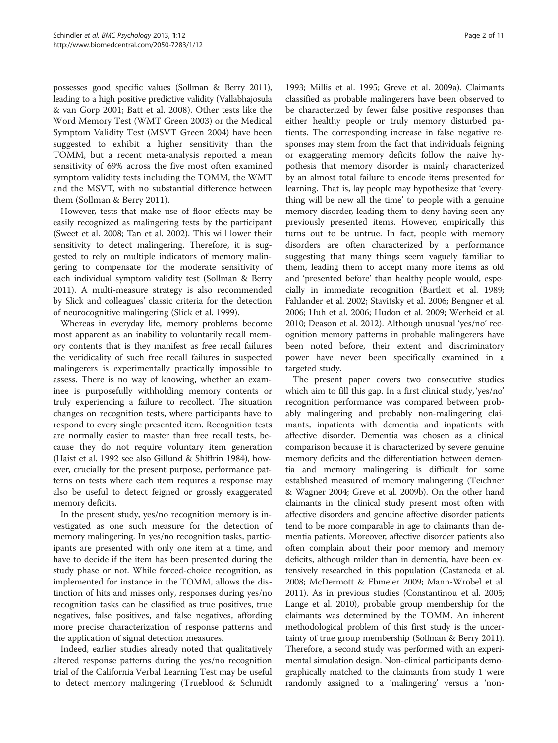possesses good specific values (Sollman & Berry [2011](#page-10-0)), leading to a high positive predictive validity (Vallabhajosula & van Gorp [2001](#page-10-0); Batt et al. [2008](#page-9-0)). Other tests like the Word Memory Test (WMT Green [2003\)](#page-10-0) or the Medical Symptom Validity Test (MSVT Green [2004\)](#page-10-0) have been suggested to exhibit a higher sensitivity than the TOMM, but a recent meta-analysis reported a mean sensitivity of 69% across the five most often examined symptom validity tests including the TOMM, the WMT and the MSVT, with no substantial difference between them (Sollman & Berry [2011\)](#page-10-0).

However, tests that make use of floor effects may be easily recognized as malingering tests by the participant (Sweet et al. [2008](#page-10-0); Tan et al. [2002](#page-10-0)). This will lower their sensitivity to detect malingering. Therefore, it is suggested to rely on multiple indicators of memory malingering to compensate for the moderate sensitivity of each individual symptom validity test (Sollman & Berry [2011](#page-10-0)). A multi-measure strategy is also recommended by Slick and colleagues' classic criteria for the detection of neurocognitive malingering (Slick et al. [1999\)](#page-10-0).

Whereas in everyday life, memory problems become most apparent as an inability to voluntarily recall memory contents that is they manifest as free recall failures the veridicality of such free recall failures in suspected malingerers is experimentally practically impossible to assess. There is no way of knowing, whether an examinee is purposefully withholding memory contents or truly experiencing a failure to recollect. The situation changes on recognition tests, where participants have to respond to every single presented item. Recognition tests are normally easier to master than free recall tests, because they do not require voluntary item generation (Haist et al. [1992](#page-10-0) see also Gillund & Shiffrin [1984](#page-10-0)), however, crucially for the present purpose, performance patterns on tests where each item requires a response may also be useful to detect feigned or grossly exaggerated memory deficits.

In the present study, yes/no recognition memory is investigated as one such measure for the detection of memory malingering. In yes/no recognition tasks, participants are presented with only one item at a time, and have to decide if the item has been presented during the study phase or not. While forced-choice recognition, as implemented for instance in the TOMM, allows the distinction of hits and misses only, responses during yes/no recognition tasks can be classified as true positives, true negatives, false positives, and false negatives, affording more precise characterization of response patterns and the application of signal detection measures.

Indeed, earlier studies already noted that qualitatively altered response patterns during the yes/no recognition trial of the California Verbal Learning Test may be useful to detect memory malingering (Trueblood & Schmidt

[1993](#page-10-0); Millis et al. [1995](#page-10-0); Greve et al. [2009a\)](#page-10-0). Claimants classified as probable malingerers have been observed to be characterized by fewer false positive responses than either healthy people or truly memory disturbed patients. The corresponding increase in false negative responses may stem from the fact that individuals feigning or exaggerating memory deficits follow the naive hypothesis that memory disorder is mainly characterized by an almost total failure to encode items presented for learning. That is, lay people may hypothesize that 'everything will be new all the time' to people with a genuine memory disorder, leading them to deny having seen any previously presented items. However, empirically this turns out to be untrue. In fact, people with memory disorders are often characterized by a performance suggesting that many things seem vaguely familiar to them, leading them to accept many more items as old and 'presented before' than healthy people would, especially in immediate recognition (Bartlett et al. [1989](#page-9-0); Fahlander et al. [2002](#page-10-0); Stavitsky et al. [2006;](#page-10-0) Bengner et al. [2006](#page-9-0); Huh et al. [2006](#page-10-0); Hudon et al. [2009](#page-10-0); Werheid et al. [2010](#page-10-0); Deason et al. [2012\)](#page-10-0). Although unusual 'yes/no' recognition memory patterns in probable malingerers have been noted before, their extent and discriminatory power have never been specifically examined in a targeted study.

The present paper covers two consecutive studies which aim to fill this gap. In a first clinical study, 'yes/no' recognition performance was compared between probably malingering and probably non-malingering claimants, inpatients with dementia and inpatients with affective disorder. Dementia was chosen as a clinical comparison because it is characterized by severe genuine memory deficits and the differentiation between dementia and memory malingering is difficult for some established measured of memory malingering (Teichner & Wagner [2004;](#page-10-0) Greve et al. [2009b\)](#page-10-0). On the other hand claimants in the clinical study present most often with affective disorders and genuine affective disorder patients tend to be more comparable in age to claimants than dementia patients. Moreover, affective disorder patients also often complain about their poor memory and memory deficits, although milder than in dementia, have been extensively researched in this population (Castaneda et al. [2008](#page-9-0); McDermott & Ebmeier [2009;](#page-10-0) Mann-Wrobel et al. [2011](#page-10-0)). As in previous studies (Constantinou et al. [2005](#page-10-0); Lange et al. [2010](#page-10-0)), probable group membership for the claimants was determined by the TOMM. An inherent methodological problem of this first study is the uncertainty of true group membership (Sollman & Berry [2011](#page-10-0)). Therefore, a second study was performed with an experimental simulation design. Non-clinical participants demographically matched to the claimants from study 1 were randomly assigned to a 'malingering' versus a 'non-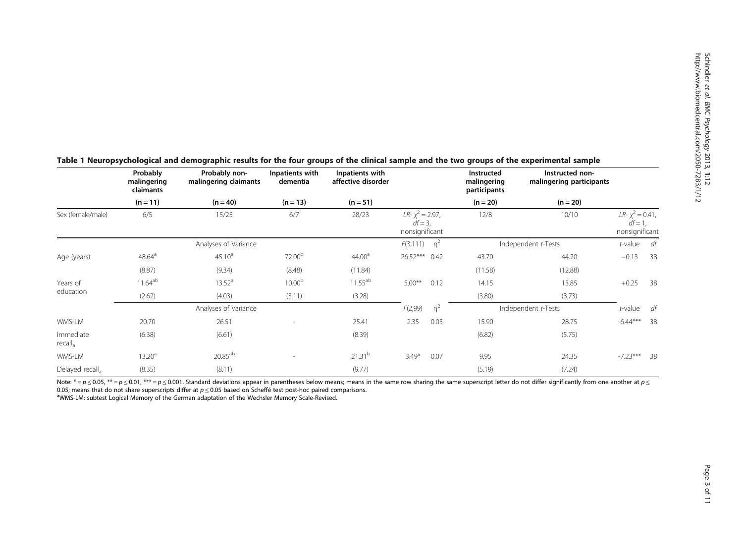|                                  | Probably<br>malingering<br>claimants | Probably non-<br>malingering claimants | Inpatients with<br>dementia | Inpatients with<br>affective disorder |                                                        |       | <b>Instructed</b><br>malingering<br>participants | Instructed non-<br>malingering participants |                                                        |      |
|----------------------------------|--------------------------------------|----------------------------------------|-----------------------------|---------------------------------------|--------------------------------------------------------|-------|--------------------------------------------------|---------------------------------------------|--------------------------------------------------------|------|
|                                  | $(n = 11)$                           | $(n = 40)$                             | $(n = 13)$                  | $(n = 51)$                            |                                                        |       | $(n = 20)$                                       | $(n = 20)$                                  |                                                        |      |
| Sex (female/male)                | 6/5                                  | 15/25                                  | 6/7                         | 28/23                                 | $LR - \chi^2 = 2.97$ ,<br>$df = 3$ ,<br>nonsignificant |       | 12/8                                             | 10/10                                       | $LR - \chi^2 = 0.41$ ,<br>$df = 1$ ,<br>nonsignificant |      |
|                                  |                                      | Analyses of Variance                   |                             |                                       | $F(3,111)$ $n^2$                                       |       |                                                  | Independent t-Tests                         | $t$ -value                                             | df   |
| Age (years)                      | 48.64 <sup>a</sup>                   | 45.10 <sup>a</sup>                     | 72.00 <sup>b</sup>          | 44.00 <sup>a</sup>                    | $26.52***$                                             | 0.42  | 43.70                                            | 44.20                                       | $-0.13$                                                | - 38 |
|                                  | (8.87)                               | (9.34)                                 | (8.48)                      | (11.84)                               |                                                        |       | (11.58)                                          | (12.88)                                     |                                                        |      |
| Years of                         | $11.64^{ab}$                         | $13.52^a$                              | 10.00 <sup>b</sup>          | $11.55^{ab}$                          | $5.00**$                                               | 0.12  | 14.15                                            | 13.85                                       | $+0.25$                                                | 38   |
| education                        | (2.62)                               | (4.03)                                 | (3.11)                      | (3.28)                                |                                                        |       | (3.80)                                           | (3.73)                                      |                                                        |      |
|                                  |                                      | Analyses of Variance                   |                             |                                       | F(2,99)                                                | $n^2$ | Independent t-Tests                              |                                             | $t$ -value                                             | df   |
| WMS-LM                           | 20.70                                | 26.51                                  | $\overline{\phantom{a}}$    | 25.41                                 | 2.35                                                   | 0.05  | 15.90                                            | 28.75                                       | $-6.44***$                                             | 38   |
| Immediate<br>recall <sub>a</sub> | (6.38)                               | (6.61)                                 |                             | (8.39)                                |                                                        |       | (6.82)                                           | (5.75)                                      |                                                        |      |
| WMS-LM                           | 13.20 <sup>a</sup>                   | $20.85^{ab}$                           |                             | 21.31 <sup>b</sup>                    | $3.49*$                                                | 0.07  | 9.95                                             | 24.35                                       | $-7.23***$                                             | 38   |
| Delayed recall <sub>a</sub>      | (8.35)                               | (8.11)                                 |                             | (9.77)                                |                                                        |       | (5.19)                                           | (7.24)                                      |                                                        |      |

## <span id="page-2-0"></span>Table 1 Neuropsychological and demographic results for the four groups of the clinical sample and the two groups of the experimental sample

Note: \* =  $p \le 0.05$ , \*\* =  $p \le 0.01$ , \*\*\* =  $p \le 0.001$ . Standard deviations appear in parentheses below means; means in the same row sharing the same superscript letter do not differ significantly from one another at  $p$ 0.05; means that do not share superscripts differ at  $p \le 0.05$  based on Scheffé test post-hoc paired comparisons.

WMS-LM: subtest Logical Memory of the German adaptation of the Wechsler Memory Scale-Revised.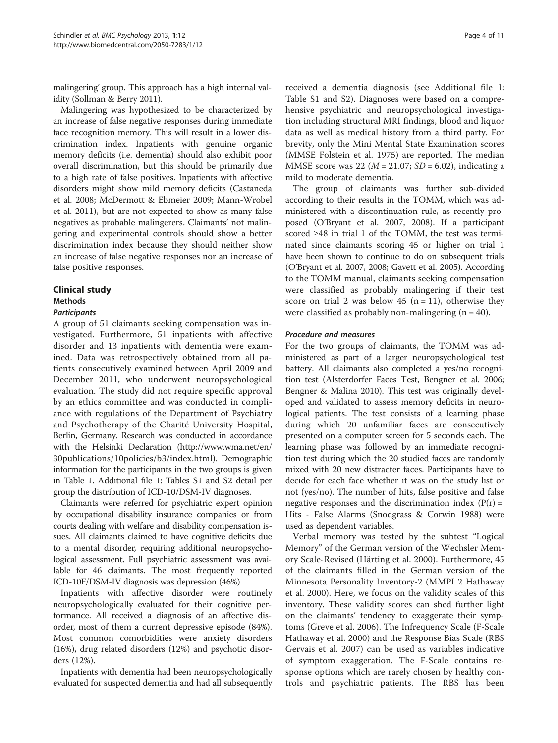malingering' group. This approach has a high internal validity (Sollman & Berry [2011](#page-10-0)).

Malingering was hypothesized to be characterized by an increase of false negative responses during immediate face recognition memory. This will result in a lower discrimination index. Inpatients with genuine organic memory deficits (i.e. dementia) should also exhibit poor overall discrimination, but this should be primarily due to a high rate of false positives. Inpatients with affective disorders might show mild memory deficits (Castaneda et al. [2008](#page-9-0); McDermott & Ebmeier [2009](#page-10-0); Mann-Wrobel et al. [2011\)](#page-10-0), but are not expected to show as many false negatives as probable malingerers. Claimants' not malingering and experimental controls should show a better discrimination index because they should neither show an increase of false negative responses nor an increase of false positive responses.

## Clinical study

#### Methods

## **Participants**

A group of 51 claimants seeking compensation was investigated. Furthermore, 51 inpatients with affective disorder and 13 inpatients with dementia were examined. Data was retrospectively obtained from all patients consecutively examined between April 2009 and December 2011, who underwent neuropsychological evaluation. The study did not require specific approval by an ethics committee and was conducted in compliance with regulations of the Department of Psychiatry and Psychotherapy of the Charité University Hospital, Berlin, Germany. Research was conducted in accordance with the Helsinki Declaration [\(http://www.wma.net/en/](http://www.wma.net/en/30publications/10policies/b3/index.html) [30publications/10policies/b3/index.html\)](http://www.wma.net/en/30publications/10policies/b3/index.html). Demographic information for the participants in the two groups is given in Table [1.](#page-2-0) Additional file [1](#page-9-0): Tables S1 and S2 detail per group the distribution of ICD-10/DSM-IV diagnoses.

Claimants were referred for psychiatric expert opinion by occupational disability insurance companies or from courts dealing with welfare and disability compensation issues. All claimants claimed to have cognitive deficits due to a mental disorder, requiring additional neuropsychological assessment. Full psychiatric assessment was available for 46 claimants. The most frequently reported ICD-10F/DSM-IV diagnosis was depression (46%).

Inpatients with affective disorder were routinely neuropsychologically evaluated for their cognitive performance. All received a diagnosis of an affective disorder, most of them a current depressive episode (84%). Most common comorbidities were anxiety disorders (16%), drug related disorders (12%) and psychotic disorders (12%).

Inpatients with dementia had been neuropsychologically evaluated for suspected dementia and had all subsequently

received a dementia diagnosis (see Additional file [1](#page-9-0): Table S1 and S2). Diagnoses were based on a comprehensive psychiatric and neuropsychological investigation including structural MRI findings, blood and liquor data as well as medical history from a third party. For brevity, only the Mini Mental State Examination scores (MMSE Folstein et al. [1975](#page-10-0)) are reported. The median MMSE score was 22 ( $M = 21.07$ ; SD = 6.02), indicating a mild to moderate dementia.

The group of claimants was further sub-divided according to their results in the TOMM, which was administered with a discontinuation rule, as recently proposed (O'Bryant et al. [2007, 2008\)](#page-10-0). If a participant scored ≥48 in trial 1 of the TOMM, the test was terminated since claimants scoring 45 or higher on trial 1 have been shown to continue to do on subsequent trials (O'Bryant et al. [2007](#page-10-0), [2008;](#page-10-0) Gavett et al. [2005\)](#page-10-0). According to the TOMM manual, claimants seeking compensation were classified as probably malingering if their test score on trial 2 was below 45 ( $n = 11$ ), otherwise they were classified as probably non-malingering  $(n = 40)$ .

#### Procedure and measures

For the two groups of claimants, the TOMM was administered as part of a larger neuropsychological test battery. All claimants also completed a yes/no recognition test (Alsterdorfer Faces Test, Bengner et al. [2006](#page-9-0); Bengner & Malina [2010\)](#page-9-0). This test was originally developed and validated to assess memory deficits in neurological patients. The test consists of a learning phase during which 20 unfamiliar faces are consecutively presented on a computer screen for 5 seconds each. The learning phase was followed by an immediate recognition test during which the 20 studied faces are randomly mixed with 20 new distracter faces. Participants have to decide for each face whether it was on the study list or not (yes/no). The number of hits, false positive and false negative responses and the discrimination index  $(P(r) =$ Hits - False Alarms (Snodgrass & Corwin [1988](#page-10-0)) were used as dependent variables.

Verbal memory was tested by the subtest "Logical Memory" of the German version of the Wechsler Memory Scale-Revised (Härting et al. [2000\)](#page-10-0). Furthermore, 45 of the claimants filled in the German version of the Minnesota Personality Inventory-2 (MMPI 2 Hathaway et al. [2000](#page-10-0)). Here, we focus on the validity scales of this inventory. These validity scores can shed further light on the claimants' tendency to exaggerate their symptoms (Greve et al. [2006](#page-10-0)). The Infrequency Scale (F-Scale Hathaway et al. [2000\)](#page-10-0) and the Response Bias Scale (RBS Gervais et al. [2007\)](#page-10-0) can be used as variables indicative of symptom exaggeration. The F-Scale contains response options which are rarely chosen by healthy controls and psychiatric patients. The RBS has been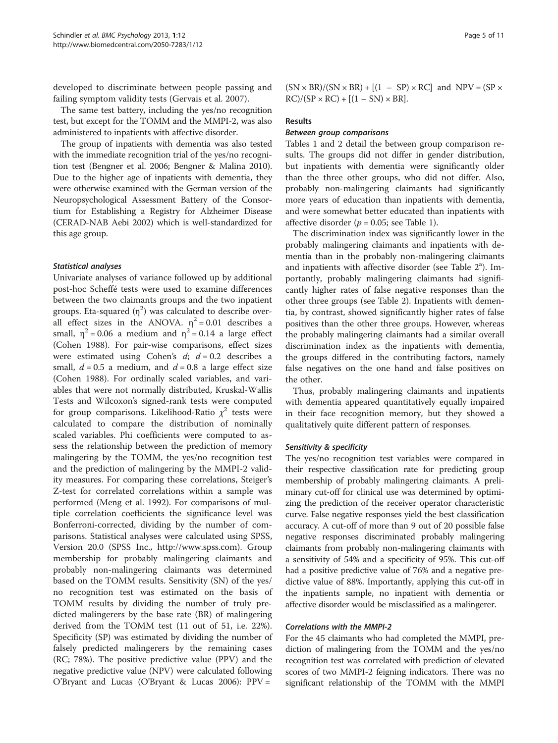developed to discriminate between people passing and failing symptom validity tests (Gervais et al. [2007\)](#page-10-0).

The same test battery, including the yes/no recognition test, but except for the TOMM and the MMPI-2, was also administered to inpatients with affective disorder.

The group of inpatients with dementia was also tested with the immediate recognition trial of the yes/no recognition test (Bengner et al. [2006](#page-9-0); Bengner & Malina [2010](#page-9-0)). Due to the higher age of inpatients with dementia, they were otherwise examined with the German version of the Neuropsychological Assessment Battery of the Consortium for Establishing a Registry for Alzheimer Disease (CERAD-NAB Aebi [2002\)](#page-9-0) which is well-standardized for this age group.

#### Statistical analyses

Univariate analyses of variance followed up by additional post-hoc Scheffé tests were used to examine differences between the two claimants groups and the two inpatient groups. Eta-squared  $(\eta^2)$  was calculated to describe overall effect sizes in the ANOVA.  $\eta^2 = 0.01$  describes a small,  $\eta^2 = 0.06$  a medium and  $\eta^2 = 0.14$  a large effect (Cohen [1988\)](#page-10-0). For pair-wise comparisons, effect sizes were estimated using Cohen's  $d$ ;  $d = 0.2$  describes a small,  $d = 0.5$  a medium, and  $d = 0.8$  a large effect size (Cohen [1988](#page-10-0)). For ordinally scaled variables, and variables that were not normally distributed, Kruskal-Wallis Tests and Wilcoxon's signed-rank tests were computed for group comparisons. Likelihood-Ratio  $\chi^2$  tests were calculated to compare the distribution of nominally scaled variables. Phi coefficients were computed to assess the relationship between the prediction of memory malingering by the TOMM, the yes/no recognition test and the prediction of malingering by the MMPI-2 validity measures. For comparing these correlations, Steiger's Z-test for correlated correlations within a sample was performed (Meng et al. [1992](#page-10-0)). For comparisons of multiple correlation coefficients the significance level was Bonferroni-corrected, dividing by the number of comparisons. Statistical analyses were calculated using SPSS, Version 20.0 (SPSS Inc.,<http://www.spss.com>). Group membership for probably malingering claimants and probably non-malingering claimants was determined based on the TOMM results. Sensitivity (SN) of the yes/ no recognition test was estimated on the basis of TOMM results by dividing the number of truly predicted malingerers by the base rate (BR) of malingering derived from the TOMM test (11 out of 51, i.e. 22%). Specificity (SP) was estimated by dividing the number of falsely predicted malingerers by the remaining cases (RC; 78%). The positive predictive value (PPV) and the negative predictive value (NPV) were calculated following O'Bryant and Lucas (O'Bryant & Lucas [2006\)](#page-10-0): PPV =

 $(SN \times BR)/(SN \times BR) + [(1 - SP) \times RC]$  and  $NPV = (SP \times$  $RC)/(SP \times RC) + [(1 - SN) \times BR].$ 

#### Results

#### Between group comparisons

Tables [1](#page-2-0) and [2](#page-5-0) detail the between group comparison results. The groups did not differ in gender distribution, but inpatients with dementia were significantly older than the three other groups, who did not differ. Also, probably non-malingering claimants had significantly more years of education than inpatients with dementia, and were somewhat better educated than inpatients with affective disorder ( $p = 0.05$ ; see Table [1\)](#page-2-0).

The discrimination index was significantly lower in the probably malingering claimants and inpatients with dementia than in the probably non-malingering claimants and inpatients with affective disorder (see Table  $2<sup>a</sup>$ ). Importantly, probably malingering claimants had significantly higher rates of false negative responses than the other three groups (see Table [2\)](#page-5-0). Inpatients with dementia, by contrast, showed significantly higher rates of false positives than the other three groups. However, whereas the probably malingering claimants had a similar overall discrimination index as the inpatients with dementia, the groups differed in the contributing factors, namely false negatives on the one hand and false positives on the other.

Thus, probably malingering claimants and inpatients with dementia appeared quantitatively equally impaired in their face recognition memory, but they showed a qualitatively quite different pattern of responses.

#### Sensitivity & specificity

The yes/no recognition test variables were compared in their respective classification rate for predicting group membership of probably malingering claimants. A preliminary cut-off for clinical use was determined by optimizing the prediction of the receiver operator characteristic curve. False negative responses yield the best classification accuracy. A cut-off of more than 9 out of 20 possible false negative responses discriminated probably malingering claimants from probably non-malingering claimants with a sensitivity of 54% and a specificity of 95%. This cut-off had a positive predictive value of 76% and a negative predictive value of 88%. Importantly, applying this cut-off in the inpatients sample, no inpatient with dementia or affective disorder would be misclassified as a malingerer.

#### Correlations with the MMPI-2

For the 45 claimants who had completed the MMPI, prediction of malingering from the TOMM and the yes/no recognition test was correlated with prediction of elevated scores of two MMPI-2 feigning indicators. There was no significant relationship of the TOMM with the MMPI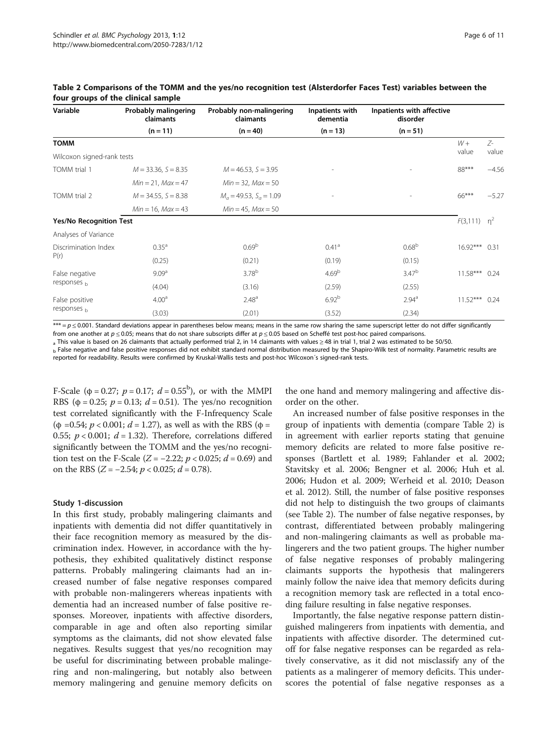| Variable                       | Probably malingering<br>claimants | Probably non-malingering<br>claimants | Inpatients with<br>dementia | Inpatients with affective<br>disorder |                     |         |
|--------------------------------|-----------------------------------|---------------------------------------|-----------------------------|---------------------------------------|---------------------|---------|
|                                | $(n = 11)$                        | $(n = 40)$                            | $(n = 13)$                  | $(n = 51)$                            |                     |         |
| <b>TOMM</b>                    |                                   |                                       |                             |                                       | $W +$               | $Z-$    |
| Wilcoxon signed-rank tests     |                                   |                                       |                             |                                       | value               | value   |
| TOMM trial 1                   | $M = 33.36$ , $S = 8.35$          | $M = 46.53$ , $S = 3.95$              |                             |                                       | 88***               | $-4.56$ |
|                                | $Min = 21$ , $Max = 47$           | $Min = 32$ , $Max = 50$               |                             |                                       |                     |         |
| TOMM trial 2                   | $M = 34.55$ , $S = 8.38$          | $M_a = 49.53$ , $S_a = 1.09$          |                             |                                       | 66***               | $-5.27$ |
|                                | $Min = 16$ , $Max = 43$           | $Min = 45$ , $Max = 50$               |                             |                                       |                     |         |
| <b>Yes/No Recognition Test</b> |                                   |                                       |                             |                                       | $F(3,111)$ $\eta^2$ |         |
| Analyses of Variance           |                                   |                                       |                             |                                       |                     |         |
| Discrimination Index           | 0.35 <sup>a</sup>                 | 0.69 <sup>b</sup>                     | 0.41 <sup>a</sup>           | 0.68 <sup>b</sup>                     | $16.92***$          | 0.31    |
| P(r)                           | (0.25)                            | (0.21)                                | (0.19)                      | (0.15)                                |                     |         |
| False negative                 | 9.09 <sup>a</sup>                 | 3.78 <sup>b</sup>                     | 4.69 <sup>b</sup>           | 3.47 <sup>b</sup>                     | $11.58***$          | 0.24    |
| responses $b$                  | (4.04)                            | (3.16)                                | (2.59)                      | (2.55)                                |                     |         |
| False positive                 | 4.00 <sup>a</sup>                 | 2.48 <sup>a</sup>                     | 6.92 <sup>b</sup>           | 2.94 <sup>a</sup>                     | $11.52***$          | 0.24    |
| responses h                    | (3.03)                            | (2.01)                                | (3.52)                      | (2.34)                                |                     |         |

#### <span id="page-5-0"></span>Table 2 Comparisons of the TOMM and the yes/no recognition test (Alsterdorfer Faces Test) variables between the four groups of the clinical sample

 $*** = p \le 0.001$ . Standard deviations appear in parentheses below means; means in the same row sharing the same superscript letter do not differ significantly from one another at  $p \le 0.05$ ; means that do not share subscripts differ at  $p \le 0.05$  based on Scheffé test post-hoc paired comparisons.

a This value is based on 26 claimants that actually performed trial 2, in 14 claimants with values ≥ 48 in trial 1, trial 2 was estimated to be 50/50

b False negative and false positive responses did not exhibit standard normal distribution measured by the Shapiro-Wilk test of normality. Parametric results are reported for readability. Results were confirmed by Kruskal-Wallis tests and post-hoc Wilcoxon´s signed-rank tests.

F-Scale ( $\phi = 0.27$ ;  $p = 0.17$ ;  $d = 0.55^{\circ}$ ), or with the MMPI RBS ( $\phi = 0.25$ ;  $p = 0.13$ ;  $d = 0.51$ ). The yes/no recognition test correlated significantly with the F-Infrequency Scale ( $\phi$  =0.54; *p* < 0.001; *d* = 1.27), as well as with the RBS ( $\phi$  = 0.55;  $p < 0.001$ ;  $d = 1.32$ ). Therefore, correlations differed significantly between the TOMM and the yes/no recognition test on the F-Scale ( $Z = -2.22$ ;  $p < 0.025$ ;  $d = 0.69$ ) and on the RBS ( $Z = -2.54$ ;  $p < 0.025$ ;  $d = 0.78$ ).

## Study 1-discussion

In this first study, probably malingering claimants and inpatients with dementia did not differ quantitatively in their face recognition memory as measured by the discrimination index. However, in accordance with the hypothesis, they exhibited qualitatively distinct response patterns. Probably malingering claimants had an increased number of false negative responses compared with probable non-malingerers whereas inpatients with dementia had an increased number of false positive responses. Moreover, inpatients with affective disorders, comparable in age and often also reporting similar symptoms as the claimants, did not show elevated false negatives. Results suggest that yes/no recognition may be useful for discriminating between probable malingering and non-malingering, but notably also between memory malingering and genuine memory deficits on the one hand and memory malingering and affective disorder on the other.

An increased number of false positive responses in the group of inpatients with dementia (compare Table 2) is in agreement with earlier reports stating that genuine memory deficits are related to more false positive responses (Bartlett et al. [1989;](#page-9-0) Fahlander et al. [2002](#page-10-0); Stavitsky et al. [2006;](#page-10-0) Bengner et al. [2006;](#page-9-0) Huh et al. [2006](#page-10-0); Hudon et al. [2009;](#page-10-0) Werheid et al. [2010;](#page-10-0) Deason et al. [2012](#page-10-0)). Still, the number of false positive responses did not help to distinguish the two groups of claimants (see Table 2). The number of false negative responses, by contrast, differentiated between probably malingering and non-malingering claimants as well as probable malingerers and the two patient groups. The higher number of false negative responses of probably malingering claimants supports the hypothesis that malingerers mainly follow the naive idea that memory deficits during a recognition memory task are reflected in a total encoding failure resulting in false negative responses.

Importantly, the false negative response pattern distinguished malingerers from inpatients with dementia, and inpatients with affective disorder. The determined cutoff for false negative responses can be regarded as relatively conservative, as it did not misclassify any of the patients as a malingerer of memory deficits. This underscores the potential of false negative responses as a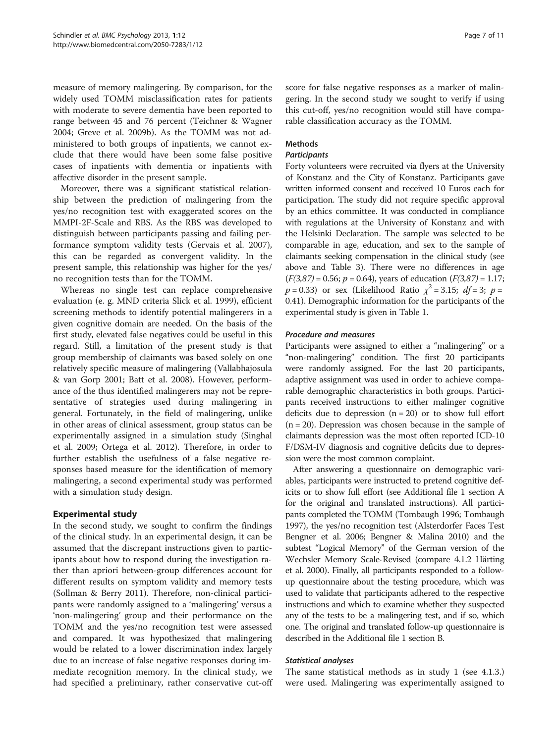measure of memory malingering. By comparison, for the widely used TOMM misclassification rates for patients with moderate to severe dementia have been reported to range between 45 and 76 percent (Teichner & Wagner [2004](#page-10-0); Greve et al. [2009b\)](#page-10-0). As the TOMM was not administered to both groups of inpatients, we cannot exclude that there would have been some false positive cases of inpatients with dementia or inpatients with affective disorder in the present sample.

Moreover, there was a significant statistical relationship between the prediction of malingering from the yes/no recognition test with exaggerated scores on the MMPI-2F-Scale and RBS. As the RBS was developed to distinguish between participants passing and failing performance symptom validity tests (Gervais et al. [2007](#page-10-0)), this can be regarded as convergent validity. In the present sample, this relationship was higher for the yes/ no recognition tests than for the TOMM.

Whereas no single test can replace comprehensive evaluation (e. g. MND criteria Slick et al. [1999](#page-10-0)), efficient screening methods to identify potential malingerers in a given cognitive domain are needed. On the basis of the first study, elevated false negatives could be useful in this regard. Still, a limitation of the present study is that group membership of claimants was based solely on one relatively specific measure of malingering (Vallabhajosula & van Gorp [2001](#page-10-0); Batt et al. [2008](#page-9-0)). However, performance of the thus identified malingerers may not be representative of strategies used during malingering in general. Fortunately, in the field of malingering, unlike in other areas of clinical assessment, group status can be experimentally assigned in a simulation study (Singhal et al. [2009;](#page-10-0) Ortega et al. [2012](#page-10-0)). Therefore, in order to further establish the usefulness of a false negative responses based measure for the identification of memory malingering, a second experimental study was performed with a simulation study design.

## Experimental study

In the second study, we sought to confirm the findings of the clinical study. In an experimental design, it can be assumed that the discrepant instructions given to participants about how to respond during the investigation rather than apriori between-group differences account for different results on symptom validity and memory tests (Sollman & Berry [2011](#page-10-0)). Therefore, non-clinical participants were randomly assigned to a 'malingering' versus a 'non-malingering' group and their performance on the TOMM and the yes/no recognition test were assessed and compared. It was hypothesized that malingering would be related to a lower discrimination index largely due to an increase of false negative responses during immediate recognition memory. In the clinical study, we had specified a preliminary, rather conservative cut-off score for false negative responses as a marker of malingering. In the second study we sought to verify if using this cut-off, yes/no recognition would still have comparable classification accuracy as the TOMM.

## Methods

#### **Participants**

Forty volunteers were recruited via flyers at the University of Konstanz and the City of Konstanz. Participants gave written informed consent and received 10 Euros each for participation. The study did not require specific approval by an ethics committee. It was conducted in compliance with regulations at the University of Konstanz and with the Helsinki Declaration. The sample was selected to be comparable in age, education, and sex to the sample of claimants seeking compensation in the clinical study (see above and Table [3\)](#page-7-0). There were no differences in age  $(F(3,87) = 0.56; p = 0.64)$ , years of education  $(F(3,87) = 1.17;$  $p = 0.33$ ) or sex (Likelihood Ratio  $\chi^2 = 3.15$ ;  $df = 3$ ;  $p = 1$ 0.41). Demographic information for the participants of the experimental study is given in Table [1](#page-2-0).

#### Procedure and measures

Participants were assigned to either a "malingering" or a "non-malingering" condition. The first 20 participants were randomly assigned. For the last 20 participants, adaptive assignment was used in order to achieve comparable demographic characteristics in both groups. Participants received instructions to either malinger cognitive deficits due to depression  $(n = 20)$  or to show full effort  $(n = 20)$ . Depression was chosen because in the sample of claimants depression was the most often reported ICD-10 F/DSM-IV diagnosis and cognitive deficits due to depression were the most common complaint.

After answering a questionnaire on demographic variables, participants were instructed to pretend cognitive deficits or to show full effort (see Additional file [1](#page-9-0) section A for the original and translated instructions). All participants completed the TOMM (Tombaugh [1996](#page-10-0); Tombaugh [1997\)](#page-10-0), the yes/no recognition test (Alsterdorfer Faces Test Bengner et al. [2006](#page-9-0); Bengner & Malina [2010\)](#page-9-0) and the subtest "Logical Memory" of the German version of the Wechsler Memory Scale-Revised (compare 4.1.2 Härting et al. [2000](#page-10-0)). Finally, all participants responded to a followup questionnaire about the testing procedure, which was used to validate that participants adhered to the respective instructions and which to examine whether they suspected any of the tests to be a malingering test, and if so, which one. The original and translated follow-up questionnaire is described in the Additional file [1](#page-9-0) section B.

#### Statistical analyses

The same statistical methods as in study 1 (see 4.1.3.) were used. Malingering was experimentally assigned to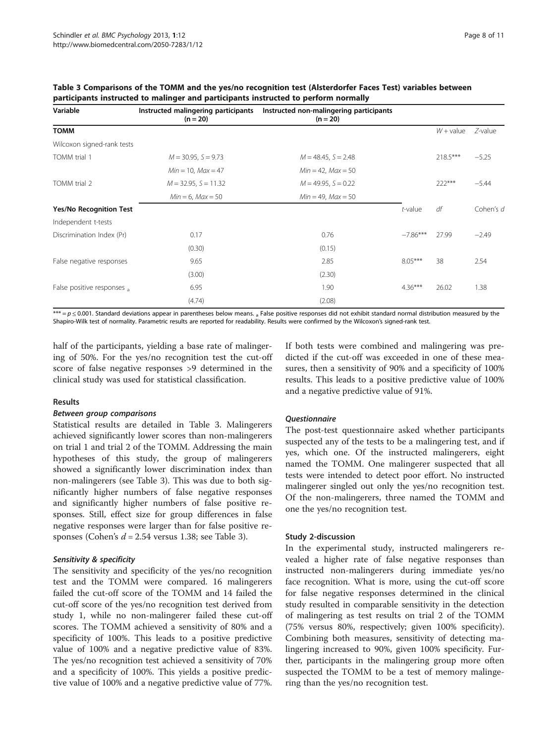| Variable                       | Instructed malingering participants<br>$(n = 20)$ | Instructed non-malingering participants<br>$(n = 20)$ |            |             |           |
|--------------------------------|---------------------------------------------------|-------------------------------------------------------|------------|-------------|-----------|
| <b>TOMM</b>                    |                                                   |                                                       |            | $W + value$ | Z-value   |
| Wilcoxon signed-rank tests     |                                                   |                                                       |            |             |           |
| TOMM trial 1                   | $M = 30.95$ , $S = 9.73$                          | $M = 48.45$ , $S = 2.48$                              |            | 218.5***    | $-5.25$   |
|                                | $Min = 10$ , $Max = 47$                           | $Min = 42$ , $Max = 50$                               |            |             |           |
| TOMM trial 2                   | $M = 32.95$ , $S = 11.32$                         | $M = 49.95$ , $S = 0.22$                              |            | $222***$    | $-5.44$   |
|                                | $Min = 6$ , $Max = 50$                            | $Min = 49$ , $Max = 50$                               |            |             |           |
| <b>Yes/No Recognition Test</b> |                                                   |                                                       | $t$ -value | df          | Cohen's d |
| Independent t-tests            |                                                   |                                                       |            |             |           |
| Discrimination Index (Pr)      | 0.17                                              | 0.76                                                  | $-7.86***$ | 27.99       | $-2.49$   |
|                                | (0.30)                                            | (0.15)                                                |            |             |           |
| False negative responses       | 9.65                                              | 2.85                                                  | $8.05***$  | 38          | 2.54      |
|                                | (3.00)                                            | (2.30)                                                |            |             |           |
| False positive responses,      | 6.95                                              | 1.90                                                  | $4.36***$  | 26.02       | 1.38      |
|                                | (4.74)                                            | (2.08)                                                |            |             |           |

<span id="page-7-0"></span>Table 3 Comparisons of the TOMM and the yes/no recognition test (Alsterdorfer Faces Test) variables between participants instructed to malinger and participants instructed to perform normally

 $*** = p \le 0.001$ . Standard deviations appear in parentheses below means.  $_a$  False positive responses did not exhibit standard normal distribution measured by the Shapiro-Wilk test of normality. Parametric results are reported for readability. Results were confirmed by the Wilcoxon's signed-rank test.

half of the participants, yielding a base rate of malingering of 50%. For the yes/no recognition test the cut-off score of false negative responses >9 determined in the clinical study was used for statistical classification.

## Results

#### Between group comparisons

Statistical results are detailed in Table 3. Malingerers achieved significantly lower scores than non-malingerers on trial 1 and trial 2 of the TOMM. Addressing the main hypotheses of this study, the group of malingerers showed a significantly lower discrimination index than non-malingerers (see Table 3). This was due to both significantly higher numbers of false negative responses and significantly higher numbers of false positive responses. Still, effect size for group differences in false negative responses were larger than for false positive responses (Cohen's  $d = 2.54$  versus 1.38; see Table 3).

## Sensitivity & specificity

The sensitivity and specificity of the yes/no recognition test and the TOMM were compared. 16 malingerers failed the cut-off score of the TOMM and 14 failed the cut-off score of the yes/no recognition test derived from study 1, while no non-malingerer failed these cut-off scores. The TOMM achieved a sensitivity of 80% and a specificity of 100%. This leads to a positive predictive value of 100% and a negative predictive value of 83%. The yes/no recognition test achieved a sensitivity of 70% and a specificity of 100%. This yields a positive predictive value of 100% and a negative predictive value of 77%.

If both tests were combined and malingering was predicted if the cut-off was exceeded in one of these measures, then a sensitivity of 90% and a specificity of 100% results. This leads to a positive predictive value of 100% and a negative predictive value of 91%.

## **Ouestionnaire**

The post-test questionnaire asked whether participants suspected any of the tests to be a malingering test, and if yes, which one. Of the instructed malingerers, eight named the TOMM. One malingerer suspected that all tests were intended to detect poor effort. No instructed malingerer singled out only the yes/no recognition test. Of the non-malingerers, three named the TOMM and one the yes/no recognition test.

#### Study 2-discussion

In the experimental study, instructed malingerers revealed a higher rate of false negative responses than instructed non-malingerers during immediate yes/no face recognition. What is more, using the cut-off score for false negative responses determined in the clinical study resulted in comparable sensitivity in the detection of malingering as test results on trial 2 of the TOMM (75% versus 80%, respectively; given 100% specificity). Combining both measures, sensitivity of detecting malingering increased to 90%, given 100% specificity. Further, participants in the malingering group more often suspected the TOMM to be a test of memory malingering than the yes/no recognition test.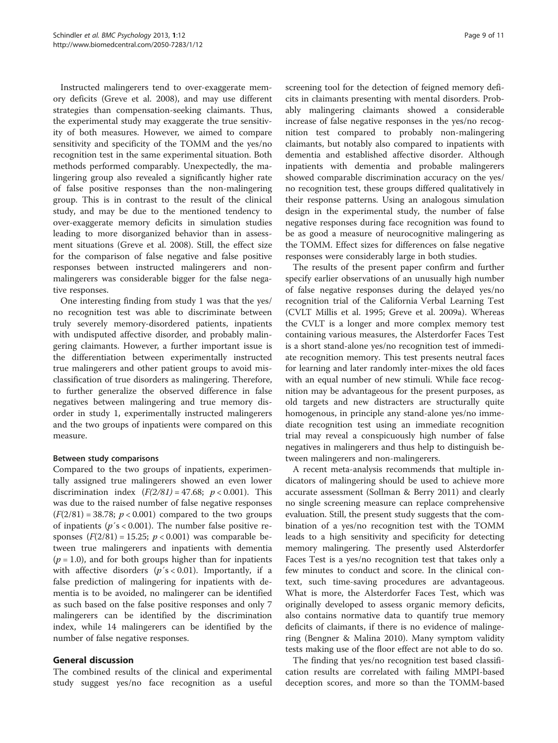Instructed malingerers tend to over-exaggerate memory deficits (Greve et al. [2008](#page-10-0)), and may use different strategies than compensation-seeking claimants. Thus, the experimental study may exaggerate the true sensitivity of both measures. However, we aimed to compare sensitivity and specificity of the TOMM and the yes/no recognition test in the same experimental situation. Both methods performed comparably. Unexpectedly, the malingering group also revealed a significantly higher rate of false positive responses than the non-malingering group. This is in contrast to the result of the clinical study, and may be due to the mentioned tendency to over-exaggerate memory deficits in simulation studies leading to more disorganized behavior than in assessment situations (Greve et al. [2008](#page-10-0)). Still, the effect size for the comparison of false negative and false positive responses between instructed malingerers and nonmalingerers was considerable bigger for the false negative responses.

One interesting finding from study 1 was that the yes/ no recognition test was able to discriminate between truly severely memory-disordered patients, inpatients with undisputed affective disorder, and probably malingering claimants. However, a further important issue is the differentiation between experimentally instructed true malingerers and other patient groups to avoid misclassification of true disorders as malingering. Therefore, to further generalize the observed difference in false negatives between malingering and true memory disorder in study 1, experimentally instructed malingerers and the two groups of inpatients were compared on this measure.

## Between study comparisons

Compared to the two groups of inpatients, experimentally assigned true malingerers showed an even lower discrimination index  $(F(2/81) = 47.68; p < 0.001)$ . This was due to the raised number of false negative responses  $(F(2/81) = 38.78; p < 0.001)$  compared to the two groups of inpatients ( $p's < 0.001$ ). The number false positive responses  $(F(2/81) = 15.25; p < 0.001)$  was comparable between true malingerers and inpatients with dementia  $(p = 1.0)$ , and for both groups higher than for inpatients with affective disorders ( $p's < 0.01$ ). Importantly, if a false prediction of malingering for inpatients with dementia is to be avoided, no malingerer can be identified as such based on the false positive responses and only 7 malingerers can be identified by the discrimination index, while 14 malingerers can be identified by the number of false negative responses.

## General discussion

The combined results of the clinical and experimental study suggest yes/no face recognition as a useful screening tool for the detection of feigned memory deficits in claimants presenting with mental disorders. Probably malingering claimants showed a considerable increase of false negative responses in the yes/no recognition test compared to probably non-malingering claimants, but notably also compared to inpatients with dementia and established affective disorder. Although inpatients with dementia and probable malingerers showed comparable discrimination accuracy on the yes/ no recognition test, these groups differed qualitatively in their response patterns. Using an analogous simulation design in the experimental study, the number of false negative responses during face recognition was found to be as good a measure of neurocognitive malingering as the TOMM. Effect sizes for differences on false negative responses were considerably large in both studies.

The results of the present paper confirm and further specify earlier observations of an unusually high number of false negative responses during the delayed yes/no recognition trial of the California Verbal Learning Test (CVLT Millis et al. [1995;](#page-10-0) Greve et al. [2009a](#page-10-0)). Whereas the CVLT is a longer and more complex memory test containing various measures, the Alsterdorfer Faces Test is a short stand-alone yes/no recognition test of immediate recognition memory. This test presents neutral faces for learning and later randomly inter-mixes the old faces with an equal number of new stimuli. While face recognition may be advantageous for the present purposes, as old targets and new distracters are structurally quite homogenous, in principle any stand-alone yes/no immediate recognition test using an immediate recognition trial may reveal a conspicuously high number of false negatives in malingerers and thus help to distinguish between malingerers and non-malingerers.

A recent meta-analysis recommends that multiple indicators of malingering should be used to achieve more accurate assessment (Sollman & Berry [2011\)](#page-10-0) and clearly no single screening measure can replace comprehensive evaluation. Still, the present study suggests that the combination of a yes/no recognition test with the TOMM leads to a high sensitivity and specificity for detecting memory malingering. The presently used Alsterdorfer Faces Test is a yes/no recognition test that takes only a few minutes to conduct and score. In the clinical context, such time-saving procedures are advantageous. What is more, the Alsterdorfer Faces Test, which was originally developed to assess organic memory deficits, also contains normative data to quantify true memory deficits of claimants, if there is no evidence of malingering (Bengner & Malina [2010\)](#page-9-0). Many symptom validity tests making use of the floor effect are not able to do so.

The finding that yes/no recognition test based classification results are correlated with failing MMPI-based deception scores, and more so than the TOMM-based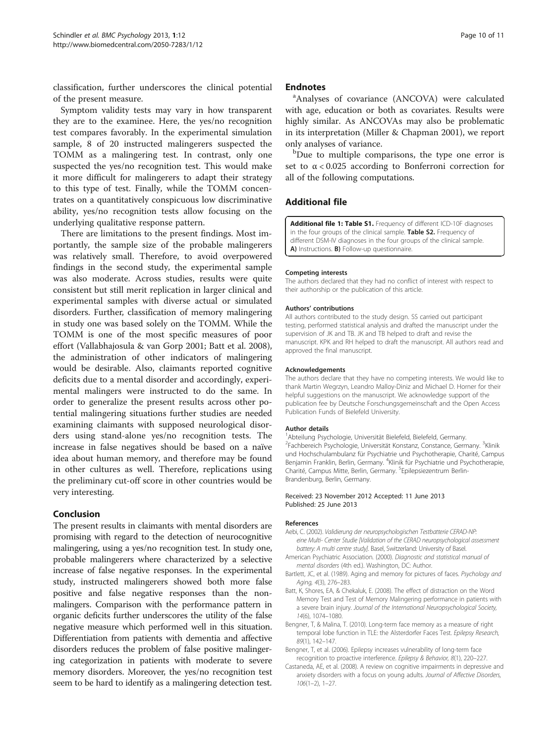<span id="page-9-0"></span>classification, further underscores the clinical potential of the present measure.

Symptom validity tests may vary in how transparent they are to the examinee. Here, the yes/no recognition test compares favorably. In the experimental simulation sample, 8 of 20 instructed malingerers suspected the TOMM as a malingering test. In contrast, only one suspected the yes/no recognition test. This would make it more difficult for malingerers to adapt their strategy to this type of test. Finally, while the TOMM concentrates on a quantitatively conspicuous low discriminative ability, yes/no recognition tests allow focusing on the underlying qualitative response pattern.

There are limitations to the present findings. Most importantly, the sample size of the probable malingerers was relatively small. Therefore, to avoid overpowered findings in the second study, the experimental sample was also moderate. Across studies, results were quite consistent but still merit replication in larger clinical and experimental samples with diverse actual or simulated disorders. Further, classification of memory malingering in study one was based solely on the TOMM. While the TOMM is one of the most specific measures of poor effort (Vallabhajosula & van Gorp [2001](#page-10-0); Batt et al. 2008), the administration of other indicators of malingering would be desirable. Also, claimants reported cognitive deficits due to a mental disorder and accordingly, experimental malingers were instructed to do the same. In order to generalize the present results across other potential malingering situations further studies are needed examining claimants with supposed neurological disorders using stand-alone yes/no recognition tests. The increase in false negatives should be based on a naïve idea about human memory, and therefore may be found in other cultures as well. Therefore, replications using the preliminary cut-off score in other countries would be very interesting.

#### Conclusion

The present results in claimants with mental disorders are promising with regard to the detection of neurocognitive malingering, using a yes/no recognition test. In study one, probable malingerers where characterized by a selective increase of false negative responses. In the experimental study, instructed malingerers showed both more false positive and false negative responses than the nonmalingers. Comparison with the performance pattern in organic deficits further underscores the utility of the false negative measure which performed well in this situation. Differentiation from patients with dementia and affective disorders reduces the problem of false positive malingering categorization in patients with moderate to severe memory disorders. Moreover, the yes/no recognition test seem to be hard to identify as a malingering detection test.

#### **Endnotes**

<sup>a</sup>Analyses of covariance (ANCOVA) were calculated with age, education or both as covariates. Results were highly similar. As ANCOVAs may also be problematic in its interpretation (Miller & Chapman [2001\)](#page-10-0), we report only analyses of variance.

<sup>b</sup>Due to multiple comparisons, the type one error is set to α < 0.025 according to Bonferroni correction for all of the following computations.

## Additional file

[Additional file 1: Table S1.](http://www.biomedcentral.com/content/supplementary/2050-7283-1-12-S1.doc) Frequency of different ICD-10F diagnoses in the four groups of the clinical sample. Table S2. Frequency of different DSM-IV diagnoses in the four groups of the clinical sample. A) Instructions. B) Follow-up questionnaire.

#### Competing interests

The authors declared that they had no conflict of interest with respect to their authorship or the publication of this article.

#### Authors' contributions

All authors contributed to the study design. SS carried out participant testing, performed statistical analysis and drafted the manuscript under the supervision of JK and TB. JK and TB helped to draft and revise the manuscript. KPK and RH helped to draft the manuscript. All authors read and approved the final manuscript.

#### Acknowledgements

The authors declare that they have no competing interests. We would like to thank Martin Wegrzyn, Leandro Malloy-Diniz and Michael D. Horner for their helpful suggestions on the manuscript. We acknowledge support of the publication fee by Deutsche Forschungsgemeinschaft and the Open Access Publication Funds of Bielefeld University.

#### Author details

1 Abteilung Psychologie, Universität Bielefeld, Bielefeld, Germany. <sup>2</sup>Fachbereich Psychologie, Universität Konstanz, Constance, Germany. <sup>3</sup>Klinik und Hochschulambulanz für Psychiatrie und Psychotherapie, Charité, Campus Benjamin Franklin, Berlin, Germany. <sup>4</sup>Klinik für Psychiatrie und Psychotherapie Charité, Campus Mitte, Berlin, Germany. <sup>5</sup>Epilepsiezentrum Berlin-Brandenburg, Berlin, Germany.

#### Received: 23 November 2012 Accepted: 11 June 2013 Published: 25 June 2013

#### References

- Aebi, C. (2002). Validierung der neuropsychologischen Testbatterie CERAD-NP: eine Multi- Center Studie [Validation of the CERAD neuropsychological assessment battery: A multi centre study]. Basel, Switzerland: University of Basel.
- American Psychiatric Association. (2000). Diagnostic and statistical manual of mental disorders (4th ed.). Washington, DC: Author.
- Bartlett, JC, et al. (1989). Aging and memory for pictures of faces. Psychology and Aging, 4(3), 276–283.
- Batt, K, Shores, EA, & Chekaluk, E. (2008). The effect of distraction on the Word Memory Test and Test of Memory Malingering performance in patients with a severe brain injury. Journal of the International Neuropsychological Society, 14(6), 1074–1080.
- Bengner, T, & Malina, T. (2010). Long-term face memory as a measure of right temporal lobe function in TLE: the Alsterdorfer Faces Test. Epilepsy Research, 89(1), 142–147.
- Bengner, T, et al. (2006). Epilepsy increases vulnerability of long-term face recognition to proactive interference. Epilepsy & Behavior, 8(1), 220–227.
- Castaneda, AE, et al. (2008). A review on cognitive impairments in depressive and anxiety disorders with a focus on young adults. Journal of Affective Disorders, 106(1–2), 1–27.